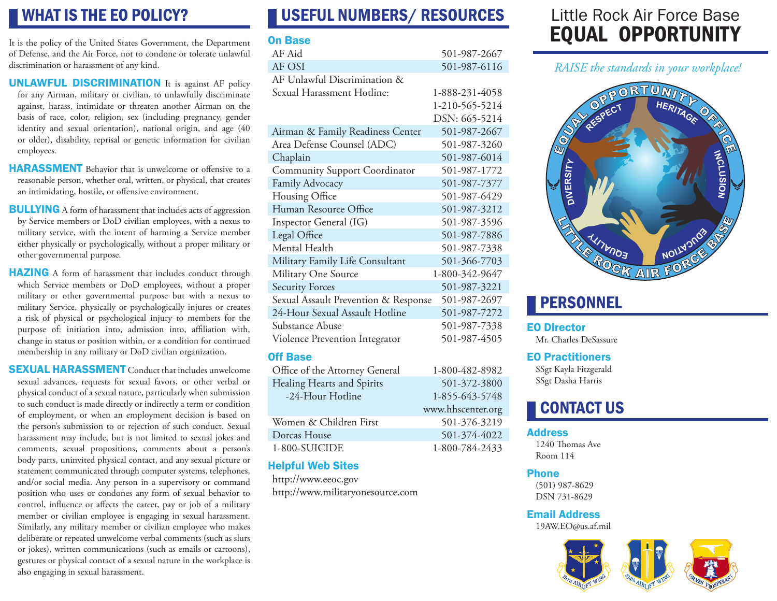### WHAT IS THE EO POLICY?

It is the policy of the United States Government, the Department of Defense, and the Air Force, not to condone or tolerate unlawful discrimination or harassment of any kind.

- UNLAWFUL DISCRIMINATION It is against AF policy for any Airman, military or civilian, to unlawfully discriminate against, harass, intimidate or threaten another Airman on the basis of race, color, religion, sex (including pregnancy, gender identity and sexual orientation), national origin, and age (40 or older), disability, reprisal or genetic information for civilian employees.
- **HARASSMENT** Behavior that is unwelcome or offensive to a reasonable person, whether oral, written, or physical, that creates an intimidating, hostile, or offensive environment.
- **BULLYING** A form of harassment that includes acts of aggression by Service members or DoD civilian employees, with a nexus to military service, with the intent of harming a Service member either physically or psychologically, without a proper military or other governmental purpose.
- **HAZING** A form of harassment that includes conduct through which Service members or DoD employees, without a proper military or other governmental purpose but with a nexus to military Service, physically or psychologically injures or creates a risk of physical or psychological injury to members for the purpose of: initiation into, admission into, affiliation with, change in status or position within, or a condition for continued membership in any military or DoD civilian organization.

**SEXUAL HARASSMENT** Conduct that includes unwelcome sexual advances, requests for sexual favors, or other verbal or physical conduct of a sexual nature, particularly when submission to such conduct is made directly or indirectly a term or condition of employment, or when an employment decision is based on the person's submission to or rejection of such conduct. Sexual harassment may include, but is not limited to sexual jokes and comments, sexual propositions, comments about a person's body parts, uninvited physical contact, and any sexual picture or statement communicated through computer systems, telephones, and/or social media. Any person in a supervisory or command position who uses or condones any form of sexual behavior to control, influence or affects the career, pay or job of a military member or civilian employee is engaging in sexual harassment. Similarly, any military member or civilian employee who makes deliberate or repeated unwelcome verbal comments (such as slurs or jokes), written communications (such as emails or cartoons), gestures or physical contact of a sexual nature in the workplace is also engaging in sexual harassment.

### USEFUL NUMBERS/ RESOURCES

#### On Base

| AF Aid                               | 501-987-2667   |
|--------------------------------------|----------------|
| AF OSI                               | 501-987-6116   |
| AF Unlawful Discrimination &         |                |
| Sexual Harassment Hotline:           | 1-888-231-4058 |
|                                      | 1-210-565-5214 |
|                                      | DSN: 665-5214  |
| Airman & Family Readiness Center     | 501-987-2667   |
| Area Defense Counsel (ADC)           | 501-987-3260   |
| Chaplain                             | 501-987-6014   |
| <b>Community Support Coordinator</b> | 501-987-1772   |
| Family Advocacy                      | 501-987-7377   |
| Housing Office                       | 501-987-6429   |
| Human Resource Office                | 501-987-3212   |
| Inspector General (IG)               | 501-987-3596   |
| Legal Office                         | 501-987-7886   |
| Mental Health                        | 501-987-7338   |
| Military Family Life Consultant      | 501-366-7703   |
| Military One Source                  | 1-800-342-9647 |
| <b>Security Forces</b>               | 501-987-3221   |
| Sexual Assault Prevention & Response | 501-987-2697   |
| 24-Hour Sexual Assault Hotline       | 501-987-7272   |
| Substance Abuse                      | 501-987-7338   |
| Violence Prevention Integrator       | 501-987-4505   |
| <b>Off Base</b>                      |                |
| Office of the Attorney General       | 1-800-482-8982 |
| Healing Hearts and Spirits           | 501-372-3800   |
| -24-Hour Hotline                     | 1-855-643-5748 |
|                                      |                |

| www.hhscenter.org |
|-------------------|
| 501-376-3219      |
| 501-374-4022      |
| 1-800-784-2433    |
|                   |

### Helpful Web Sites

http://www.eeoc.gov http://www.militaryonesource.com

## Little Rock Air Force Base EQUAL OPPORTUNITY

*RAISE the standards in your workplace!*



### **PERSONNEL**

#### EO Director

Mr. Charles DeSassure

#### EO Practitioners

SSgt Kayla Fitzgerald SSgt Dasha Harris

### CONTACT US

#### **Address**

1240 Thomas Ave Room 114

#### Phone

(501) 987-8629 DSN 731-8629

#### Email Address 19AW.EO@us.af.mil